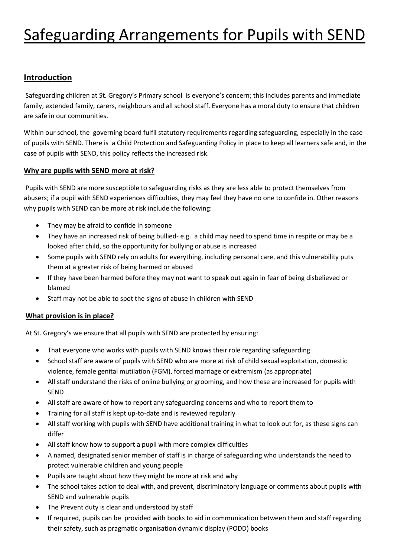# Safeguarding Arrangements for Pupils with SEND

## **Introduction**

Safeguarding children at St. Gregory's Primary school is everyone's concern; this includes parents and immediate family, extended family, carers, neighbours and all school staff. Everyone has a moral duty to ensure that children are safe in our communities.

Within our school, the governing board fulfil statutory requirements regarding safeguarding, especially in the case of pupils with SEND. There is a Child Protection and Safeguarding Policy in place to keep all learners safe and, in the case of pupils with SEND, this policy reflects the increased risk.

#### **Why are pupils with SEND more at risk?**

Pupils with SEND are more susceptible to safeguarding risks as they are less able to protect themselves from abusers; if a pupil with SEND experiences difficulties, they may feel they have no one to confide in. Other reasons why pupils with SEND can be more at risk include the following:

- They may be afraid to confide in someone
- They have an increased risk of being bullied- e.g. a child may need to spend time in respite or may be a looked after child, so the opportunity for bullying or abuse is increased
- Some pupils with SEND rely on adults for everything, including personal care, and this vulnerability puts them at a greater risk of being harmed or abused
- If they have been harmed before they may not want to speak out again in fear of being disbelieved or blamed
- Staff may not be able to spot the signs of abuse in children with SEND

### **What provision is in place?**

At St. Gregory's we ensure that all pupils with SEND are protected by ensuring:

- That everyone who works with pupils with SEND knows their role regarding safeguarding
- School staff are aware of pupils with SEND who are more at risk of child sexual exploitation, domestic violence, female genital mutilation (FGM), forced marriage or extremism (as appropriate)
- All staff understand the risks of online bullying or grooming, and how these are increased for pupils with SEND
- All staff are aware of how to report any safeguarding concerns and who to report them to
- Training for all staff is kept up-to-date and is reviewed regularly
- All staff working with pupils with SEND have additional training in what to look out for, as these signs can differ
- All staff know how to support a pupil with more complex difficulties
- A named, designated senior member of staff is in charge of safeguarding who understands the need to protect vulnerable children and young people
- Pupils are taught about how they might be more at risk and why
- The school takes action to deal with, and prevent, discriminatory language or comments about pupils with SEND and vulnerable pupils
- The Prevent duty is clear and understood by staff
- If required, pupils can be provided with books to aid in communication between them and staff regarding their safety, such as pragmatic organisation dynamic display (PODD) books